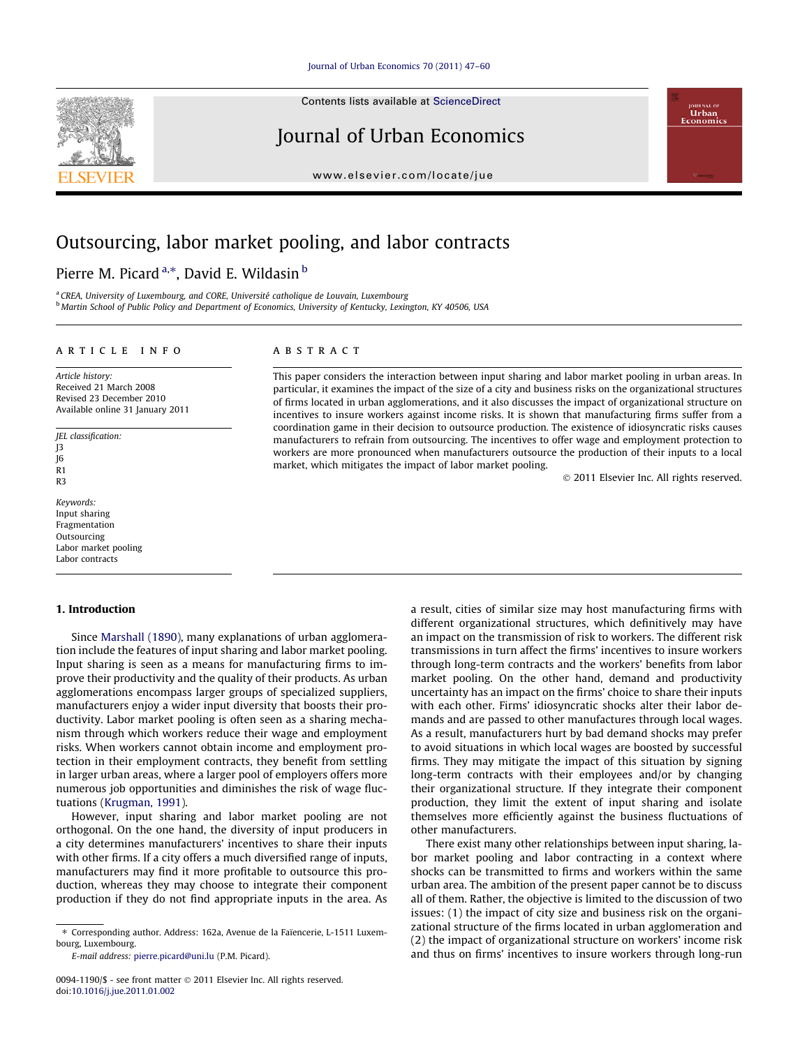#### [Journal of Urban Economics 70 \(2011\) 47–60](http://dx.doi.org/10.1016/j.jue.2011.01.002)



## Journal of Urban Economics

[www.elsevier.com/locate/jue](http://www.elsevier.com/locate/jue)

# Outsourcing, labor market pooling, and labor contracts

### Pierre M. Picard <sup>a,\*</sup>, David E. Wildasin <sup>b</sup>

<sup>a</sup> CREA, University of Luxembourg, and CORE, Université catholique de Louvain, Luxembourg <sup>b</sup> Martin School of Public Policy and Department of Economics, University of Kentucky, Lexington, KY 40506, USA

#### article info

Article history: Received 21 March 2008 Revised 23 December 2010 Available online 31 January 2011

JEL classification: J3 J6 R1 R3

Keywords: Input sharing Fragmentation Outsourcing Labor market pooling Labor contracts

#### 1. Introduction

#### Since [Marshall \(1890\)](#page--1-0), many explanations of urban agglomeration include the features of input sharing and labor market pooling. Input sharing is seen as a means for manufacturing firms to improve their productivity and the quality of their products. As urban agglomerations encompass larger groups of specialized suppliers, manufacturers enjoy a wider input diversity that boosts their productivity. Labor market pooling is often seen as a sharing mechanism through which workers reduce their wage and employment risks. When workers cannot obtain income and employment protection in their employment contracts, they benefit from settling in larger urban areas, where a larger pool of employers offers more numerous job opportunities and diminishes the risk of wage fluctuations [\(Krugman, 1991](#page--1-0)).

However, input sharing and labor market pooling are not orthogonal. On the one hand, the diversity of input producers in a city determines manufacturers' incentives to share their inputs with other firms. If a city offers a much diversified range of inputs, manufacturers may find it more profitable to outsource this production, whereas they may choose to integrate their component production if they do not find appropriate inputs in the area. As

E-mail address: [pierre.picard@uni.lu](mailto:pierre.picard@uni.lu) (P.M. Picard).

#### **ABSTRACT**

This paper considers the interaction between input sharing and labor market pooling in urban areas. In particular, it examines the impact of the size of a city and business risks on the organizational structures of firms located in urban agglomerations, and it also discusses the impact of organizational structure on incentives to insure workers against income risks. It is shown that manufacturing firms suffer from a coordination game in their decision to outsource production. The existence of idiosyncratic risks causes manufacturers to refrain from outsourcing. The incentives to offer wage and employment protection to workers are more pronounced when manufacturers outsource the production of their inputs to a local market, which mitigates the impact of labor market pooling.

- 2011 Elsevier Inc. All rights reserved.

a result, cities of similar size may host manufacturing firms with different organizational structures, which definitively may have an impact on the transmission of risk to workers. The different risk transmissions in turn affect the firms' incentives to insure workers through long-term contracts and the workers' benefits from labor market pooling. On the other hand, demand and productivity uncertainty has an impact on the firms' choice to share their inputs with each other. Firms' idiosyncratic shocks alter their labor demands and are passed to other manufactures through local wages. As a result, manufacturers hurt by bad demand shocks may prefer to avoid situations in which local wages are boosted by successful firms. They may mitigate the impact of this situation by signing long-term contracts with their employees and/or by changing their organizational structure. If they integrate their component production, they limit the extent of input sharing and isolate themselves more efficiently against the business fluctuations of other manufacturers.

There exist many other relationships between input sharing, labor market pooling and labor contracting in a context where shocks can be transmitted to firms and workers within the same urban area. The ambition of the present paper cannot be to discuss all of them. Rather, the objective is limited to the discussion of two issues: (1) the impact of city size and business risk on the organizational structure of the firms located in urban agglomeration and (2) the impact of organizational structure on workers' income risk and thus on firms' incentives to insure workers through long-run





<sup>⇑</sup> Corresponding author. Address: 162a, Avenue de la Faïencerie, L-1511 Luxembourg, Luxembourg.

<sup>0094-1190/\$ -</sup> see front matter © 2011 Elsevier Inc. All rights reserved. doi[:10.1016/j.jue.2011.01.002](http://dx.doi.org/10.1016/j.jue.2011.01.002)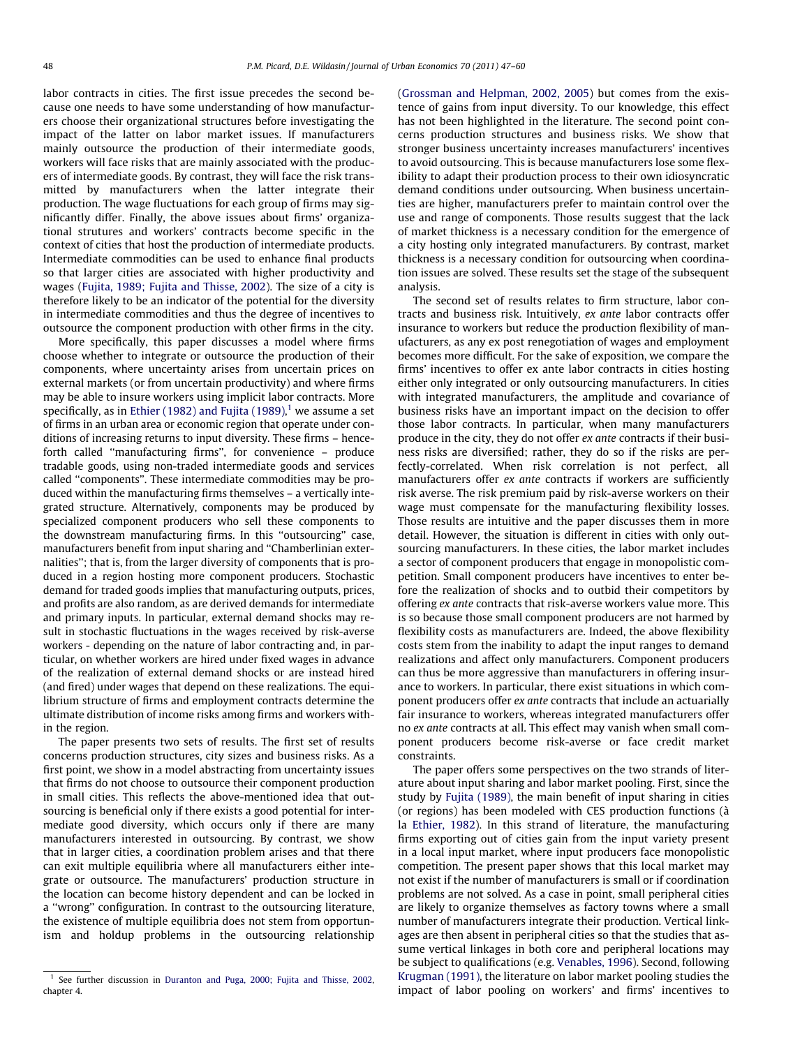labor contracts in cities. The first issue precedes the second because one needs to have some understanding of how manufacturers choose their organizational structures before investigating the impact of the latter on labor market issues. If manufacturers mainly outsource the production of their intermediate goods, workers will face risks that are mainly associated with the producers of intermediate goods. By contrast, they will face the risk transmitted by manufacturers when the latter integrate their production. The wage fluctuations for each group of firms may significantly differ. Finally, the above issues about firms' organizational strutures and workers' contracts become specific in the context of cities that host the production of intermediate products. Intermediate commodities can be used to enhance final products so that larger cities are associated with higher productivity and wages [\(Fujita, 1989; Fujita and Thisse, 2002\)](#page--1-0). The size of a city is therefore likely to be an indicator of the potential for the diversity in intermediate commodities and thus the degree of incentives to outsource the component production with other firms in the city.

More specifically, this paper discusses a model where firms choose whether to integrate or outsource the production of their components, where uncertainty arises from uncertain prices on external markets (or from uncertain productivity) and where firms may be able to insure workers using implicit labor contracts. More specifically, as in [Ethier \(1982\) and Fujita \(1989\),](#page--1-0) $^{\rm 1}$  we assume a set of firms in an urban area or economic region that operate under conditions of increasing returns to input diversity. These firms – henceforth called ''manufacturing firms'', for convenience – produce tradable goods, using non-traded intermediate goods and services called ''components''. These intermediate commodities may be produced within the manufacturing firms themselves – a vertically integrated structure. Alternatively, components may be produced by specialized component producers who sell these components to the downstream manufacturing firms. In this ''outsourcing'' case, manufacturers benefit from input sharing and ''Chamberlinian externalities''; that is, from the larger diversity of components that is produced in a region hosting more component producers. Stochastic demand for traded goods implies that manufacturing outputs, prices, and profits are also random, as are derived demands for intermediate and primary inputs. In particular, external demand shocks may result in stochastic fluctuations in the wages received by risk-averse workers - depending on the nature of labor contracting and, in particular, on whether workers are hired under fixed wages in advance of the realization of external demand shocks or are instead hired (and fired) under wages that depend on these realizations. The equilibrium structure of firms and employment contracts determine the ultimate distribution of income risks among firms and workers within the region.

The paper presents two sets of results. The first set of results concerns production structures, city sizes and business risks. As a first point, we show in a model abstracting from uncertainty issues that firms do not choose to outsource their component production in small cities. This reflects the above-mentioned idea that outsourcing is beneficial only if there exists a good potential for intermediate good diversity, which occurs only if there are many manufacturers interested in outsourcing. By contrast, we show that in larger cities, a coordination problem arises and that there can exit multiple equilibria where all manufacturers either integrate or outsource. The manufacturers' production structure in the location can become history dependent and can be locked in a ''wrong'' configuration. In contrast to the outsourcing literature, the existence of multiple equilibria does not stem from opportunism and holdup problems in the outsourcing relationship

([Grossman and Helpman, 2002, 2005\)](#page--1-0) but comes from the existence of gains from input diversity. To our knowledge, this effect has not been highlighted in the literature. The second point concerns production structures and business risks. We show that stronger business uncertainty increases manufacturers' incentives to avoid outsourcing. This is because manufacturers lose some flexibility to adapt their production process to their own idiosyncratic demand conditions under outsourcing. When business uncertainties are higher, manufacturers prefer to maintain control over the use and range of components. Those results suggest that the lack of market thickness is a necessary condition for the emergence of a city hosting only integrated manufacturers. By contrast, market thickness is a necessary condition for outsourcing when coordination issues are solved. These results set the stage of the subsequent analysis.

The second set of results relates to firm structure, labor contracts and business risk. Intuitively, ex ante labor contracts offer insurance to workers but reduce the production flexibility of manufacturers, as any ex post renegotiation of wages and employment becomes more difficult. For the sake of exposition, we compare the firms' incentives to offer ex ante labor contracts in cities hosting either only integrated or only outsourcing manufacturers. In cities with integrated manufacturers, the amplitude and covariance of business risks have an important impact on the decision to offer those labor contracts. In particular, when many manufacturers produce in the city, they do not offer ex ante contracts if their business risks are diversified; rather, they do so if the risks are perfectly-correlated. When risk correlation is not perfect, all manufacturers offer ex ante contracts if workers are sufficiently risk averse. The risk premium paid by risk-averse workers on their wage must compensate for the manufacturing flexibility losses. Those results are intuitive and the paper discusses them in more detail. However, the situation is different in cities with only outsourcing manufacturers. In these cities, the labor market includes a sector of component producers that engage in monopolistic competition. Small component producers have incentives to enter before the realization of shocks and to outbid their competitors by offering ex ante contracts that risk-averse workers value more. This is so because those small component producers are not harmed by flexibility costs as manufacturers are. Indeed, the above flexibility costs stem from the inability to adapt the input ranges to demand realizations and affect only manufacturers. Component producers can thus be more aggressive than manufacturers in offering insurance to workers. In particular, there exist situations in which component producers offer ex ante contracts that include an actuarially fair insurance to workers, whereas integrated manufacturers offer no ex ante contracts at all. This effect may vanish when small component producers become risk-averse or face credit market constraints.

The paper offers some perspectives on the two strands of literature about input sharing and labor market pooling. First, since the study by [Fujita \(1989\)](#page--1-0), the main benefit of input sharing in cities (or regions) has been modeled with CES production functions (à la [Ethier, 1982](#page--1-0)). In this strand of literature, the manufacturing firms exporting out of cities gain from the input variety present in a local input market, where input producers face monopolistic competition. The present paper shows that this local market may not exist if the number of manufacturers is small or if coordination problems are not solved. As a case in point, small peripheral cities are likely to organize themselves as factory towns where a small number of manufacturers integrate their production. Vertical linkages are then absent in peripheral cities so that the studies that assume vertical linkages in both core and peripheral locations may be subject to qualifications (e.g. [Venables, 1996](#page--1-0)). Second, following [Krugman \(1991\),](#page--1-0) the literature on labor market pooling studies the impact of labor pooling on workers' and firms' incentives to

<sup>&</sup>lt;sup>1</sup> See further discussion in [Duranton and Puga, 2000; Fujita and Thisse, 2002](#page--1-0), chapter 4.